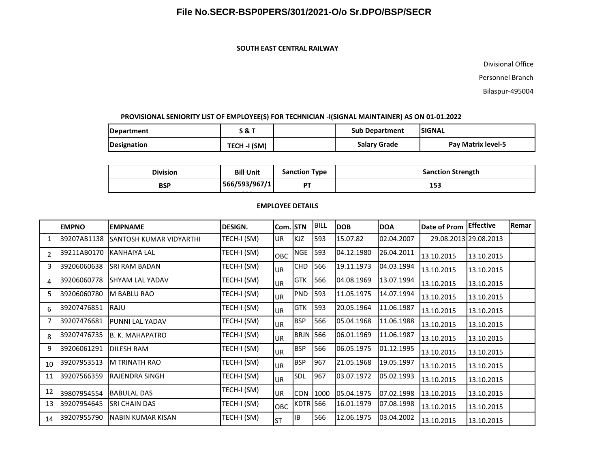#### **SOUTH EAST CENTRAL RAILWAY**

Divisional Office

Personnel Branch

Bilaspur-495004

#### **PROVISIONAL SENIORITY LIST OF EMPLOYEE(S) FOR TECHNICIAN -I(SIGNAL MAINTAINER) AS ON 01-01.2022**

| Department  | 0<br>אס כ      | <b>Sub Department</b> |              | <b>ISIGNAL</b>            |  |
|-------------|----------------|-----------------------|--------------|---------------------------|--|
| Designation | (SM)<br>TECH · |                       | Salary Grade | <b>Pav Matrix level-5</b> |  |

| <b>Division</b> | <b>Bill Unit</b>       | <b>Sanction Type</b> | <b>Sanction Strength</b> |
|-----------------|------------------------|----------------------|--------------------------|
| <b>BSP</b>      | 566/593/967/1<br>- - - | DT.                  | 153                      |
|                 |                        |                      |                          |

#### **EMPLOYEE DETAILS**

|                | <b>EMPNO</b> | <b>EMPNAME</b>                 | DESIGN.     | Com. STN   |                 | <b>BILL</b> | <b>DOB</b> | <b>DOA</b> | Date of Prom | <b>Effective</b>      | Remar |
|----------------|--------------|--------------------------------|-------------|------------|-----------------|-------------|------------|------------|--------------|-----------------------|-------|
|                | 39207AB1138  | <b>SANTOSH KUMAR VIDYARTHI</b> | TECH-I (SM) | <b>UR</b>  | <b>KJZ</b>      | 593         | 15.07.82   | 02.04.2007 |              | 29.08.2013 29.08.2013 |       |
| $\mathfrak{p}$ | 39211AB0170  | IKANHAIYA LAL                  | TECH-I (SM) | <b>OBC</b> | <b>NGE</b>      | 593         | 04.12.1980 | 26.04.2011 | 13.10.2015   | 13.10.2015            |       |
| 3              | 39206060638  | ISRI RAM BADAN                 | TECH-I (SM) | <b>UR</b>  | <b>CHD</b>      | 566         | 19.11.1973 | 04.03.1994 | 13.10.2015   | 13.10.2015            |       |
| 4              | 39206060778  | ISHYAM LAL YADAV               | TECH-I (SM) | <b>UR</b>  | <b>GTK</b>      | 566         | 04.08.1969 | 13.07.1994 | 13.10.2015   | 13.10.2015            |       |
| 5              | 39206060780  | M BABLU RAO                    | TECH-I (SM) | <b>UR</b>  | <b>PND</b>      | 593         | 11.05.1975 | 14.07.1994 | 13.10.2015   | 13.10.2015            |       |
| 6              | 39207476851  | RAJU                           | TECH-I (SM) | <b>UR</b>  | <b>GTK</b>      | 593         | 20.05.1964 | 11.06.1987 | 13.10.2015   | 13.10.2015            |       |
|                | 39207476681  | PUNNI LAL YADAV                | TECH-I (SM) | <b>UR</b>  | <b>BSP</b>      | 566         | 05.04.1968 | 11.06.1988 | 13.10.2015   | 13.10.2015            |       |
| 8              | 39207476735  | B. K. MAHAPATRO                | TECH-I (SM) | <b>UR</b>  | <b>BRJN 566</b> |             | 06.01.1969 | 11.06.1987 | 13.10.2015   | 13.10.2015            |       |
| 9              | 39206061291  | <b>DILESH RAM</b>              | TECH-I (SM) | <b>UR</b>  | <b>BSP</b>      | 566         | 06.05.1975 | 01.12.1995 | 13.10.2015   | 13.10.2015            |       |
| 10             | 39207953513  | IM TRINATH RAO                 | TECH-I (SM) | <b>UR</b>  | <b>BSP</b>      | 967         | 21.05.1968 | 19.05.1997 | 13.10.2015   | 13.10.2015            |       |
| 11             | 39207566359  | <b>IRAJENDRA SINGH</b>         | TECH-I (SM) | <b>UR</b>  | SDL             | 967         | 03.07.1972 | 05.02.1993 | 13.10.2015   | 13.10.2015            |       |
| 12             | 39807954554  | <b>BABULAL DAS</b>             | TECH-I (SM) | UR         | CON             | 1000        | 05.04.1975 | 07.02.1998 | 13.10.2015   | 13.10.2015            |       |
| 13             | 39207954645  | <b>SRI CHAIN DAS</b>           | TECH-I (SM) | <b>OBC</b> | <b>KDTR 566</b> |             | 16.01.1979 | 07.08.1998 | 13.10.2015   | 13.10.2015            |       |
| 14             | 39207955790  | <b>NABIN KUMAR KISAN</b>       | TECH-I (SM) | <b>ST</b>  | <b>IB</b>       | 566         | 12.06.1975 | 03.04.2002 | 13.10.2015   | 13.10.2015            |       |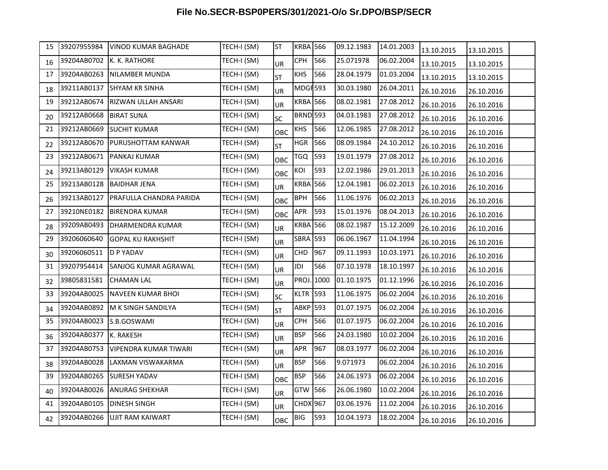| 15 | 39207955984 | <b>VINOD KUMAR BAGHADE</b>   | TECH-I (SM) | <b>ST</b> | <b>KRBA 566</b>     |      | 09.12.1983 | 14.01.2003 | 13.10.2015 | 13.10.2015 |  |
|----|-------------|------------------------------|-------------|-----------|---------------------|------|------------|------------|------------|------------|--|
| 16 | 39204AB0702 | K. K. RATHORE                | TECH-I (SM) | <b>UR</b> | CPH                 | 566  | 25.071978  | 06.02.2004 | 13.10.2015 | 13.10.2015 |  |
| 17 | 39204AB0263 | NILAMBER MUNDA               | TECH-I (SM) | ST        | <b>KHS</b>          | 566  | 28.04.1979 | 01.03.2004 | 13.10.2015 | 13.10.2015 |  |
| 18 | 39211AB0137 | <b>SHYAM KR SINHA</b>        | TECH-I (SM) | <b>UR</b> | MDGF <sub>593</sub> |      | 30.03.1980 | 26.04.2011 | 26.10.2016 | 26.10.2016 |  |
| 19 | 39212AB0674 | RIZWAN ULLAH ANSARI          | TECH-I (SM) | UR        | <b>KRBA 566</b>     |      | 08.02.1981 | 27.08.2012 | 26.10.2016 | 26.10.2016 |  |
| 20 | 39212AB0668 | <b>BIRAT SUNA</b>            | TECH-I (SM) | SC        | <b>BRND 593</b>     |      | 04.03.1983 | 27.08.2012 | 26.10.2016 | 26.10.2016 |  |
| 21 | 39212AB0669 | <b>SUCHIT KUMAR</b>          | TECH-I (SM) | OBC       | <b>KHS</b>          | 566  | 12.06.1985 | 27.08.2012 | 26.10.2016 | 26.10.2016 |  |
| 22 | 39212AB0670 | PURUSHOTTAM KANWAR           | TECH-I (SM) | <b>ST</b> | <b>HGR 566</b>      |      | 08.09.1984 | 24.10.2012 | 26.10.2016 | 26.10.2016 |  |
| 23 | 39212AB0671 | PANKAJ KUMAR                 | TECH-I (SM) | OBC       | TGQ                 | 593  | 19.01.1979 | 27.08.2012 | 26.10.2016 | 26.10.2016 |  |
| 24 | 39213AB0129 | <b>VIKASH KUMAR</b>          | TECH-I (SM) | OBC       | KOI                 | 593  | 12.02.1986 | 29.01.2013 | 26.10.2016 | 26.10.2016 |  |
| 25 | 39213AB0128 | <b>BAIDHAR JENA</b>          | TECH-I (SM) | UR        | <b>KRBA 566</b>     |      | 12.04.1981 | 06.02.2013 | 26.10.2016 | 26.10.2016 |  |
| 26 | 39213AB0127 | PRAFULLA CHANDRA PARIDA      | TECH-I (SM) | OBC       | <b>BPH</b>          | 566  | 11.06.1976 | 06.02.2013 | 26.10.2016 | 26.10.2016 |  |
| 27 | 39210NE0182 | <b>BIRENDRA KUMAR</b>        | TECH-I (SM) | OBC       | APR                 | 593  | 15.01.1976 | 08.04.2013 | 26.10.2016 | 26.10.2016 |  |
| 28 | 39209AB0493 | DHARMENDRA KUMAR             | TECH-I (SM) | UR        | <b>KRBA 566</b>     |      | 08.02.1987 | 15.12.2009 | 26.10.2016 | 26.10.2016 |  |
| 29 | 39206060640 | <b>GOPAL KU RAKHSHIT</b>     | TECH-I (SM) | <b>UR</b> | <b>SBRA</b> 593     |      | 06.06.1967 | 11.04.1994 | 26.10.2016 | 26.10.2016 |  |
| 30 | 39206060511 | D P YADAV                    | TECH-I (SM) | <b>UR</b> | CHD                 | 967  | 09.11.1993 | 10.03.1971 | 26.10.2016 | 26.10.2016 |  |
| 31 | 39207954414 | SANJOG KUMAR AGRAWAL         | TECH-I (SM) | UR        | JDI                 | 566  | 07.10.1978 | 18.10.1997 | 26.10.2016 | 26.10.2016 |  |
| 32 | 39805831581 | CHAMAN LAL                   | TECH-I (SM) | <b>UR</b> | <b>PROJ</b>         | 1000 | 01.10.1975 | 01.12.1996 | 26.10.2016 | 26.10.2016 |  |
| 33 | 39204AB0025 | <b>NAVEEN KUMAR BHOI</b>     | TECH-I (SM) | SC        | <b>KLTR 593</b>     |      | 11.06.1975 | 06.02.2004 | 26.10.2016 | 26.10.2016 |  |
| 34 | 39204AB0892 | M K SINGH SANDILYA           | TECH-I (SM) | <b>ST</b> | <b>ABKP 593</b>     |      | 01.07.1975 | 06.02.2004 | 26.10.2016 | 26.10.2016 |  |
| 35 | 39204AB0023 | S.B.GOSWAMI                  | TECH-I (SM) | <b>UR</b> | <b>CPH</b>          | 566  | 01.07.1975 | 06.02.2004 | 26.10.2016 | 26.10.2016 |  |
| 36 | 39204AB0377 | K. RAKESH                    | TECH-I (SM) | <b>UR</b> | <b>BSP</b>          | 566  | 24.03.1980 | 10.02.2004 | 26.10.2016 | 26.10.2016 |  |
| 37 | 39204AB0753 | <b>VIPENDRA KUMAR TIWARI</b> | TECH-I (SM) | UR        | APR                 | 967  | 08.03.1977 | 06.02.2004 | 26.10.2016 | 26.10.2016 |  |
| 38 | 39204AB0028 | LAXMAN VISWAKARMA            | TECH-I (SM) | <b>UR</b> | <b>BSP</b>          | 566  | 9.071973   | 06.02.2004 | 26.10.2016 | 26.10.2016 |  |
| 39 | 39204AB0265 | <b>SURESH YADAV</b>          | TECH-I (SM) | OBC       | <b>BSP</b>          | 566  | 24.06.1973 | 06.02.2004 | 26.10.2016 | 26.10.2016 |  |
| 40 | 39204AB0026 | <b>ANURAG SHEKHAR</b>        | TECH-I (SM) | <b>UR</b> | GTW                 | 566  | 26.06.1980 | 10.02.2004 | 26.10.2016 | 26.10.2016 |  |
| 41 | 39204AB0105 | <b>DINESH SINGH</b>          | TECH-I (SM) | <b>UR</b> | <b>CHDX 967</b>     |      | 03.06.1976 | 11.02.2004 | 26.10.2016 | 26.10.2016 |  |
| 42 | 39204AB0266 | UJIT RAM KAIWART             | TECH-I (SM) | OBC       | BIG                 | 593  | 10.04.1973 | 18.02.2004 | 26.10.2016 | 26.10.2016 |  |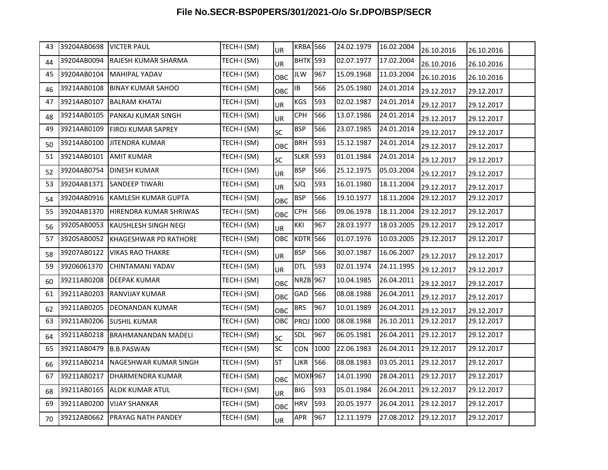| 43 | 39204AB0698 VICTER PAUL |                                  | TECH-I (SM) | <b>UR</b>  | <b>KRBA 566</b> |      | 24.02.1979 | 16.02.2004 | 26.10.2016 | 26.10.2016 |  |
|----|-------------------------|----------------------------------|-------------|------------|-----------------|------|------------|------------|------------|------------|--|
| 44 | 39204AB0094             | RAJESH KUMAR SHARMA              | TECH-I (SM) | UR         | <b>BHTK</b> 593 |      | 02.07.1977 | 17.02.2004 | 26.10.2016 | 26.10.2016 |  |
| 45 | 39204AB0104             | MAHIPAL YADAV                    | TECH-I (SM) | OBC        | JLW             | 967  | 15.09.1968 | 11.03.2004 | 26.10.2016 | 26.10.2016 |  |
| 46 | 39214AB0108             | BINAY KUMAR SAHOO                | TECH-I (SM) | OBC        | IB              | 566  | 25.05.1980 | 24.01.2014 | 29.12.2017 | 29.12.2017 |  |
| 47 | 39214AB0107             | <b>BALRAM KHATAI</b>             | TECH-I (SM) | <b>UR</b>  | KGS             | 593  | 02.02.1987 | 24.01.2014 | 29.12.2017 | 29.12.2017 |  |
| 48 | 39214AB0105             | <b>PANKAJ KUMAR SINGH</b>        | TECH-I (SM) | UR         | <b>CPH</b>      | 566  | 13.07.1986 | 24.01.2014 | 29.12.2017 | 29.12.2017 |  |
| 49 | 39214AB0109             | <b>FIROJ KUMAR SAPREY</b>        | TECH-I (SM) | <b>SC</b>  | <b>BSP</b>      | 566  | 23.07.1985 | 24.01.2014 | 29.12.2017 | 29.12.2017 |  |
| 50 | 39214AB0100             | <b>JITENDRA KUMAR</b>            | TECH-I (SM) | OBC        | <b>BRH</b>      | 593  | 15.12.1987 | 24.01.2014 | 29.12.2017 | 29.12.2017 |  |
| 51 | 39214AB0101             | <b>AMIT KUMAR</b>                | TECH-I (SM) | <b>SC</b>  | <b>SLKR 593</b> |      | 01.01.1984 | 24.01.2014 | 29.12.2017 | 29.12.2017 |  |
| 52 | 39204AB0754             | DINESH KUMAR                     | TECH-I (SM) | <b>UR</b>  | <b>BSP</b>      | 566  | 25.12.1975 | 05.03.2004 | 29.12.2017 | 29.12.2017 |  |
| 53 | 39204AB1371             | SANDEEP TIWARI                   | TECH-I (SM) | <b>UR</b>  | <b>SJQ</b>      | 593  | 16.01.1980 | 18.11.2004 | 29.12.2017 | 29.12.2017 |  |
| 54 | 39204AB0916             | KAMLESH KUMAR GUPTA              | TECH-I (SM) | OBC        | <b>BSP</b>      | 566  | 19.10.1977 | 18.11.2004 | 29.12.2017 | 29.12.2017 |  |
| 55 | 39204AB1370             | HIRENDRA KUMAR SHRIWAS           | TECH-I (SM) | OBC        | <b>CPH</b>      | 566  | 09.06.1978 | 18.11.2004 | 29.12.2017 | 29.12.2017 |  |
| 56 | 39205AB0053             | <b>KAUSHLESH SINGH NEGI</b>      | TECH-I (SM) | <b>UR</b>  | KKI             | 967  | 28.03.1977 | 18.03.2005 | 29.12.2017 | 29.12.2017 |  |
| 57 | 39205AB0052             | <b>KHAGESHWAR PD RATHORE</b>     | TECH-I (SM) | OBC        | <b>KDTR</b> 566 |      | 01.07.1976 | 10.03.2005 | 29.12.2017 | 29.12.2017 |  |
| 58 | 39207AB0122             | VIKAS RAO THAKRE                 | TECH-I (SM) | <b>UR</b>  | <b>BSP</b>      | 566  | 30.07.1987 | 16.06.2007 | 29.12.2017 | 29.12.2017 |  |
| 59 | 39206061370             | CHINTAMANI YADAV                 | TECH-I (SM) | UR.        | <b>DTL</b>      | 593  | 02.01.1974 | 24.11.1995 | 29.12.2017 | 29.12.2017 |  |
| 60 | 39211AB0208             | <b>DEEPAK KUMAR</b>              | TECH-I (SM) | <b>OBC</b> | <b>NRZB</b> 967 |      | 10.04.1985 | 26.04.2011 | 29.12.2017 | 29.12.2017 |  |
| 61 | 39211AB0203             | <b>RANVIJAY KUMAR</b>            | TECH-I (SM) | OBC        | GAD             | 566  | 08.08.1988 | 26.04.2011 | 29.12.2017 | 29.12.2017 |  |
| 62 | 39211AB0205             | DEONANDAN KUMAR                  | TECH-I (SM) | <b>OBC</b> | <b>BRS</b>      | 967  | 10.01.1989 | 26.04.2011 | 29.12.2017 | 29.12.2017 |  |
| 63 | 39211AB0206             | <b>SUSHIL KUMAR</b>              | TECH-I (SM) | <b>OBC</b> | PROJ            | 1000 | 08.08.1988 | 26.10.2011 | 29.12.2017 | 29.12.2017 |  |
| 64 | 39211AB0218             | <b>BRAHMANANDAN MADELI</b>       | TECH-I (SM) | <b>SC</b>  | <b>SDL</b>      | 967  | 06.05.1981 | 26.04.2011 | 29.12.2017 | 29.12.2017 |  |
| 65 | 39211AB0479             | <b>B.B.PASWAN</b>                | TECH-I (SM) | <b>SC</b>  | CON             | 1000 | 22.06.1983 | 26.04.2011 | 29.12.2017 | 29.12.2017 |  |
| 66 | 39211AB0214             | NAGESHWAR KUMAR SINGH            | TECH-I (SM) | <b>ST</b>  | LJKR            | 566  | 08.08.1983 | 03.05.2011 | 29.12.2017 | 29.12.2017 |  |
| 67 | 39211AB0217             | DHARMENDRA KUMAR                 | TECH-I (SM) | OBC        | <b>MDXR967</b>  |      | 14.01.1990 | 28.04.2011 | 29.12.2017 | 29.12.2017 |  |
| 68 | 39211AB0165             | <b>ALOK KUMAR ATUL</b>           | TECH-I (SM) | <b>UR</b>  | <b>BIG</b>      | 593  | 05.01.1984 | 26.04.2011 | 29.12.2017 | 29.12.2017 |  |
| 69 | 39211AB0200             | <b>VIJAY SHANKAR</b>             | TECH-I (SM) | OBC        | <b>HRV</b>      | 593  | 20.05.1977 | 26.04.2011 | 29.12.2017 | 29.12.2017 |  |
| 70 |                         | 39212AB0662   PRAYAG NATH PANDEY | TECH-I (SM) | <b>UR</b>  | <b>APR</b>      | 967  | 12.11.1979 | 27.08.2012 | 29.12.2017 | 29.12.2017 |  |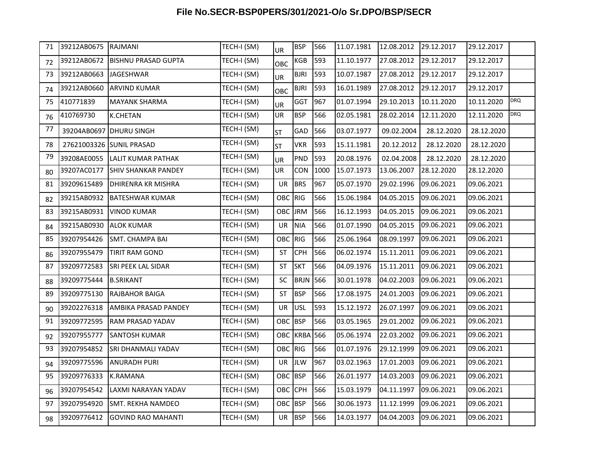| 71 | 39212AB0675 RAJMANI |                             | TECH-I (SM) | <b>UR</b> | <b>BSP</b>   | 566  | 11.07.1981 | 12.08.2012 | 29.12.2017 | 29.12.2017 |            |
|----|---------------------|-----------------------------|-------------|-----------|--------------|------|------------|------------|------------|------------|------------|
| 72 | 39212AB0672         | <b>BISHNU PRASAD GUPTA</b>  | TECH-I (SM) | OBC       | KGB          | 593  | 11.10.1977 | 27.08.2012 | 29.12.2017 | 29.12.2017 |            |
| 73 | 39212AB0663         | <b>JAGESHWAR</b>            | TECH-I (SM) | <b>UR</b> | <b>BJRI</b>  | 593  | 10.07.1987 | 27.08.2012 | 29.12.2017 | 29.12.2017 |            |
| 74 | 39212AB0660         | <b>ARVIND KUMAR</b>         | TECH-I (SM) | OBC       | <b>BJRI</b>  | 593  | 16.01.1989 | 27.08.2012 | 29.12.2017 | 29.12.2017 |            |
| 75 | 410771839           | <b>MAYANK SHARMA</b>        | TECH-I (SM) | <b>UR</b> | GGT          | 967  | 01.07.1994 | 29.10.2013 | 10.11.2020 | 10.11.2020 | <b>DRQ</b> |
| 76 | 410769730           | <b>K.CHETAN</b>             | TECH-I (SM) | UR        | <b>BSP</b>   | 566  | 02.05.1981 | 28.02.2014 | 12.11.2020 | 12.11.2020 | <b>DRQ</b> |
| 77 |                     | 39204AB0697 DHURU SINGH     | TECH-I (SM) | <b>ST</b> | GAD          | 566  | 03.07.1977 | 09.02.2004 | 28.12.2020 | 28.12.2020 |            |
| 78 |                     | 27621003326 SUNIL PRASAD    | TECH-I (SM) | <b>ST</b> | <b>VKR</b>   | 593  | 15.11.1981 | 20.12.2012 | 28.12.2020 | 28.12.2020 |            |
| 79 | 39208AE0055         | LALIT KUMAR PATHAK          | TECH-I (SM) | UR        | PND          | 593  | 20.08.1976 | 02.04.2008 | 28.12.2020 | 28.12.2020 |            |
| 80 | 39207AC0177         | <b>SHIV SHANKAR PANDEY</b>  | TECH-I (SM) | UR        | CON          | 1000 | 15.07.1973 | 13.06.2007 | 28.12.2020 | 28.12.2020 |            |
| 81 | 39209615489         | <b>DHIRENRA KR MISHRA</b>   | TECH-I (SM) | UR        | <b>BRS</b>   | 967  | 05.07.1970 | 29.02.1996 | 09.06.2021 | 09.06.2021 |            |
| 82 | 39215AB0932         | <b>BATESHWAR KUMAR</b>      | TECH-I (SM) | OBC RIG   |              | 566  | 15.06.1984 | 04.05.2015 | 09.06.2021 | 09.06.2021 |            |
| 83 | 39215AB0931         | <b>VINOD KUMAR</b>          | TECH-I (SM) | OBC       | <b>JRM</b>   | 566  | 16.12.1993 | 04.05.2015 | 09.06.2021 | 09.06.2021 |            |
| 84 | 39215AB0930         | <b>ALOK KUMAR</b>           | TECH-I (SM) | UR        | <b>NIA</b>   | 566  | 01.07.1990 | 04.05.2015 | 09.06.2021 | 09.06.2021 |            |
| 85 | 39207954426         | <b>SMT. CHAMPA BAI</b>      | TECH-I (SM) | OBC RIG   |              | 566  | 25.06.1964 | 08.09.1997 | 09.06.2021 | 09.06.2021 |            |
| 86 | 39207955479         | TIRIT RAM GOND              | TECH-I (SM) | ST        | CPH          | 566  | 06.02.1974 | 15.11.2011 | 09.06.2021 | 09.06.2021 |            |
| 87 | 39209772583         | <b>SRI PEEK LAL SIDAR</b>   | TECH-I (SM) | <b>ST</b> | <b>SKT</b>   | 566  | 04.09.1976 | 15.11.2011 | 09.06.2021 | 09.06.2021 |            |
| 88 | 39209775444         | <b>B.SRIKANT</b>            | TECH-I (SM) | SC        | <b>BRJN</b>  | 566  | 30.01.1978 | 04.02.2003 | 09.06.2021 | 09.06.2021 |            |
| 89 | 39209775130         | RAJBAHOR BAIGA              | TECH-I (SM) | ST        | <b>BSP</b>   | 566  | 17.08.1975 | 24.01.2003 | 09.06.2021 | 09.06.2021 |            |
| 90 | 39202276318         | <b>AMBIKA PRASAD PANDEY</b> | TECH-I (SM) | UR        | <b>USL</b>   | 593  | 15.12.1972 | 26.07.1997 | 09.06.2021 | 09.06.2021 |            |
| 91 | 39209772595         | RAM PRASAD YADAV            | TECH-I (SM) | OBC BSP   |              | 566  | 03.05.1965 | 29.01.2002 | 09.06.2021 | 09.06.2021 |            |
| 92 | 39207955777         | <b>SANTOSH KUMAR</b>        | TECH-I (SM) |           | OBC KRBA 566 |      | 05.06.1974 | 22.03.2002 | 09.06.2021 | 09.06.2021 |            |
| 93 | 39207954852         | SRI DHANMALI YADAV          | TECH-I (SM) | OBC RIG   |              | 566  | 01.07.1976 | 29.12.1999 | 09.06.2021 | 09.06.2021 |            |
| 94 | 39209775596         | <b>ANURADH PURI</b>         | TECH-I (SM) | UR        | <b>JLW</b>   | 967  | 03.02.1963 | 17.01.2003 | 09.06.2021 | 09.06.2021 |            |
| 95 | 39209776333         | K.RAMANA                    | TECH-I (SM) | OBC BSP   |              | 566  | 26.01.1977 | 14.03.2003 | 09.06.2021 | 09.06.2021 |            |
| 96 | 39207954542         | LAXMI NARAYAN YADAV         | TECH-I (SM) | OBC CPH   |              | 566  | 15.03.1979 | 04.11.1997 | 09.06.2021 | 09.06.2021 |            |
| 97 | 39207954920         | SMT. REKHA NAMDEO           | TECH-I (SM) | OBC BSP   |              | 566  | 30.06.1973 | 11.12.1999 | 09.06.2021 | 09.06.2021 |            |
| 98 | 39209776412         | <b>GOVIND RAO MAHANTI</b>   | TECH-I (SM) | UR BSP    |              | 566  | 14.03.1977 | 04.04.2003 | 09.06.2021 | 09.06.2021 |            |